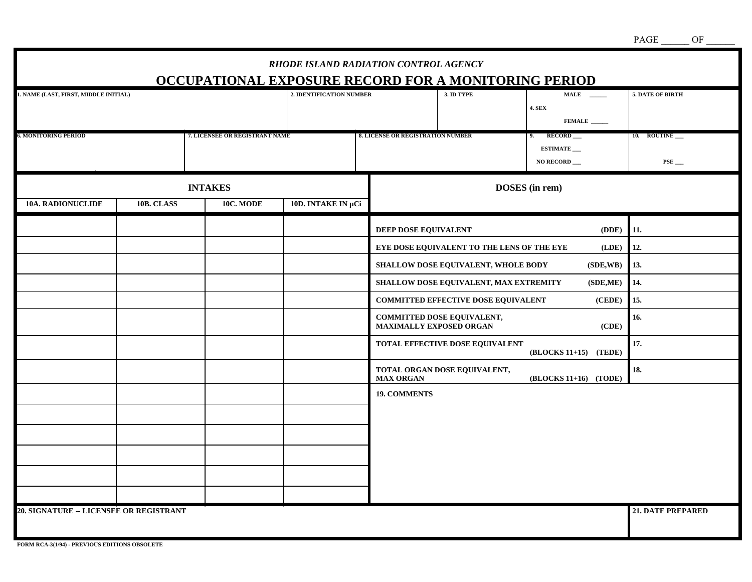|                                                                                      |  |                                   | RHODE ISLAND RADIATION CONTROL AGENCY                                            |                                                                                            |                                                                                                                                                                                                                                                                            |                                                                                                                            | PAGE<br>OF                                           |
|--------------------------------------------------------------------------------------|--|-----------------------------------|----------------------------------------------------------------------------------|--------------------------------------------------------------------------------------------|----------------------------------------------------------------------------------------------------------------------------------------------------------------------------------------------------------------------------------------------------------------------------|----------------------------------------------------------------------------------------------------------------------------|------------------------------------------------------|
| 1. NAME (LAST, FIRST, MIDDLE INITIAL)                                                |  |                                   | OCCUPATIONAL EXPOSURE RECORD FOR A MONITORING PERIOD<br>2. IDENTIFICATION NUMBER |                                                                                            | 3. ID TYPE                                                                                                                                                                                                                                                                 | <b>4. SEX</b><br>FEMALE                                                                                                    | 5. DATE OF BIRTH                                     |
| <b>6. MONITORING PERIOD</b><br>7. LICENSEE OR REGISTRANT NAME                        |  | 8. LICENSE OR REGISTRATION NUMBER |                                                                                  | 9. RECORD<br><b>ESTIMATE</b><br>NO RECORD                                                  | 10. ROUTINE<br>$PSE$ <sub>---</sub>                                                                                                                                                                                                                                        |                                                                                                                            |                                                      |
| <b>INTAKES</b><br>10A. RADIONUCLIDE<br>10B. CLASS<br>10C. MODE<br>10D. INTAKE IN µCi |  |                                   |                                                                                  | DOSES (in rem)                                                                             |                                                                                                                                                                                                                                                                            |                                                                                                                            |                                                      |
|                                                                                      |  |                                   |                                                                                  | DEEP DOSE EQUIVALENT<br>MAXIMALLY EXPOSED ORGAN<br><b>MAX ORGAN</b><br><b>19. COMMENTS</b> | EYE DOSE EQUIVALENT TO THE LENS OF THE EYE<br>SHALLOW DOSE EQUIVALENT, WHOLE BODY<br>SHALLOW DOSE EQUIVALENT, MAX EXTREMITY<br><b>COMMITTED EFFECTIVE DOSE EQUIVALENT</b><br>COMMITTED DOSE EQUIVALENT,<br>TOTAL EFFECTIVE DOSE EQUIVALENT<br>TOTAL ORGAN DOSE EQUIVALENT, | (DDE)<br>$($ <b>LDE</b> $)$<br>(SDE,WB)<br>(SDE,ME)<br>(CEDE)<br>(CDE)<br>(BLOCKS 11+15) (TEDE)<br>$(BLOCKS 11+16)$ (TODE) | 11.<br>12.<br>13.<br>14.<br>15.<br>16.<br>17.<br>18. |
| 20. SIGNATURE -- LICENSEE OR REGISTRANT                                              |  |                                   |                                                                                  |                                                                                            |                                                                                                                                                                                                                                                                            |                                                                                                                            | <b>21. DATE PREPARED</b>                             |